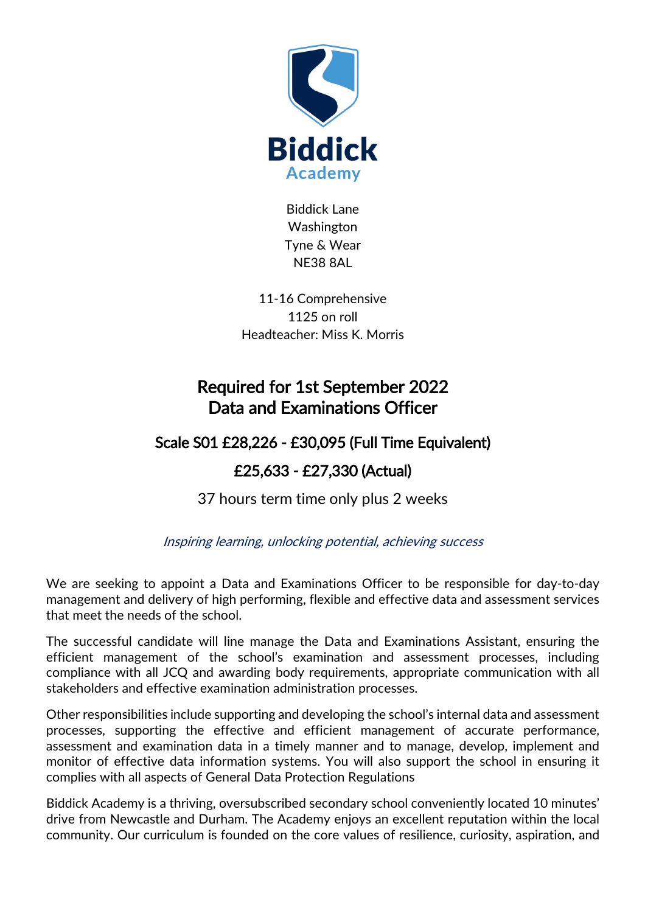

Biddick Lane Washington Tyne & Wear NE38 8AL

11-16 Comprehensive 1125 on roll Headteacher: Miss K. Morris

## Required for 1st September 2022 Data and Examinations Officer

## Scale S01 £28,226 - £30,095 (Full Time Equivalent)

## £25,633 - £27,330 (Actual)

37 hours term time only plus 2 weeks

Inspiring learning, unlocking potential, achieving success

We are seeking to appoint a Data and Examinations Officer to be responsible for day-to-day management and delivery of high performing, flexible and effective data and assessment services that meet the needs of the school.

The successful candidate will line manage the Data and Examinations Assistant, ensuring the efficient management of the school's examination and assessment processes, including compliance with all JCQ and awarding body requirements, appropriate communication with all stakeholders and effective examination administration processes.

Other responsibilities include supporting and developing the school's internal data and assessment processes, supporting the effective and efficient management of accurate performance, assessment and examination data in a timely manner and to manage, develop, implement and monitor of effective data information systems. You will also support the school in ensuring it complies with all aspects of General Data Protection Regulations

Biddick Academy is a thriving, oversubscribed secondary school conveniently located 10 minutes' drive from Newcastle and Durham. The Academy enjoys an excellent reputation within the local community. Our curriculum is founded on the core values of resilience, curiosity, aspiration, and